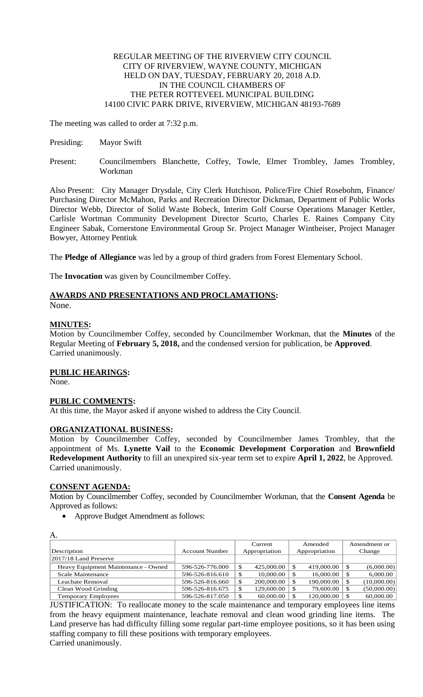### REGULAR MEETING OF THE RIVERVIEW CITY COUNCIL CITY OF RIVERVIEW, WAYNE COUNTY, MICHIGAN HELD ON DAY, TUESDAY, FEBRUARY 20, 2018 A.D. IN THE COUNCIL CHAMBERS OF THE PETER ROTTEVEEL MUNICIPAL BUILDING 14100 CIVIC PARK DRIVE, RIVERVIEW, MICHIGAN 48193-7689

The meeting was called to order at 7:32 p.m.

- Presiding: Mayor Swift
- Present: Councilmembers Blanchette, Coffey, Towle, Elmer Trombley, James Trombley, Workman

Also Present: City Manager Drysdale, City Clerk Hutchison, Police/Fire Chief Rosebohm, Finance/ Purchasing Director McMahon, Parks and Recreation Director Dickman, Department of Public Works Director Webb, Director of Solid Waste Bobeck, Interim Golf Course Operations Manager Kettler, Carlisle Wortman Community Development Director Scurto, Charles E. Raines Company City Engineer Sabak, Cornerstone Environmental Group Sr. Project Manager Wintheiser, Project Manager Bowyer, Attorney Pentiuk

The **Pledge of Allegiance** was led by a group of third graders from Forest Elementary School.

The **Invocation** was given by Councilmember Coffey.

# **AWARDS AND PRESENTATIONS AND PROCLAMATIONS:**

None.

## **MINUTES:**

Motion by Councilmember Coffey, seconded by Councilmember Workman, that the **Minutes** of the Regular Meeting of **February 5, 2018,** and the condensed version for publication, be **Approved**. Carried unanimously.

### **PUBLIC HEARINGS:**

None.

A.

### **PUBLIC COMMENTS:**

At this time, the Mayor asked if anyone wished to address the City Council.

### **ORGANIZATIONAL BUSINESS:**

Motion by Councilmember Coffey, seconded by Councilmember James Trombley, that the appointment of Ms. **Lynette Vail** to the **Economic Development Corporation** and **Brownfield Redevelopment Authority** to fill an unexpired six-year term set to expire **April 1, 2022**, be Approved. Carried unanimously.

### **CONSENT AGENDA:**

Motion by Councilmember Coffey, seconded by Councilmember Workman, that the **Consent Agenda** be Approved as follows:

• Approve Budget Amendment as follows:

| A.                                  |                       |                  |               |                   |
|-------------------------------------|-----------------------|------------------|---------------|-------------------|
|                                     |                       | Current          | Amended       | Amendment or      |
| Description                         | <b>Account Number</b> | Appropriation    | Appropriation | Change            |
| $ 2017/18$ Land Preserve            |                       |                  |               |                   |
| Heavy Equipment Maintenance - Owned | 596-526-776.000       | 425,000.00       | 419,000.00    | (6,000.00)<br>S   |
| Scale Maintenance                   | 596-526-816.610       | 10,000.00        | 16,000.00     | 6,000.00<br>\$    |
| Leachate Removal                    | 596-526-816.660       | 200,000.00       | 190,000.00    | (10,000.00)<br>\$ |
| Clean Wood Grinding                 | 596-526-816.675       | 129,600.00<br>۰٦ | 79,600.00     | (50,000.00)<br>S  |
| <b>Temporary Employees</b>          | 596-526-817.050       | 60,000.00        | 120,000.00    | 60,000.00<br>S    |

JUSTIFICATION: To reallocate money to the scale maintenance and temporary employees line items from the heavy equipment maintenance, leachate removal and clean wood grinding line items. The Land preserve has had difficulty filling some regular part-time employee positions, so it has been using staffing company to fill these positions with temporary employees.

Carried unanimously.